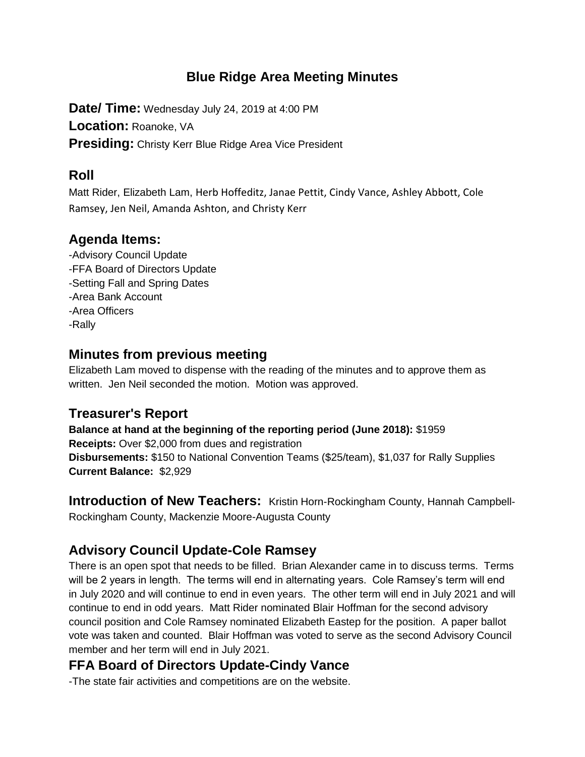#### **Blue Ridge Area Meeting Minutes**

**Date/ Time:** Wednesday July 24, 2019 at 4:00 PM **Location:** Roanoke, VA **Presiding:** Christy Kerr Blue Ridge Area Vice President

#### **Roll**

Matt Rider, Elizabeth Lam, Herb Hoffeditz, Janae Pettit, Cindy Vance, Ashley Abbott, Cole Ramsey, Jen Neil, Amanda Ashton, and Christy Kerr

#### **Agenda Items:**

-Advisory Council Update -FFA Board of Directors Update -Setting Fall and Spring Dates -Area Bank Account -Area Officers -Rally

#### **Minutes from previous meeting**

Elizabeth Lam moved to dispense with the reading of the minutes and to approve them as written. Jen Neil seconded the motion. Motion was approved.

#### **Treasurer's Report**

**Balance at hand at the beginning of the reporting period (June 2018):** \$1959 **Receipts:** Over \$2,000 from dues and registration **Disbursements:** \$150 to National Convention Teams (\$25/team), \$1,037 for Rally Supplies **Current Balance:** \$2,929

**Introduction of New Teachers:** Kristin Horn-Rockingham County, Hannah Campbell-Rockingham County, Mackenzie Moore-Augusta County

# **Advisory Council Update-Cole Ramsey**

There is an open spot that needs to be filled. Brian Alexander came in to discuss terms. Terms will be 2 years in length. The terms will end in alternating years. Cole Ramsey's term will end in July 2020 and will continue to end in even years. The other term will end in July 2021 and will continue to end in odd years. Matt Rider nominated Blair Hoffman for the second advisory council position and Cole Ramsey nominated Elizabeth Eastep for the position. A paper ballot vote was taken and counted. Blair Hoffman was voted to serve as the second Advisory Council member and her term will end in July 2021.

# **FFA Board of Directors Update-Cindy Vance**

-The state fair activities and competitions are on the website.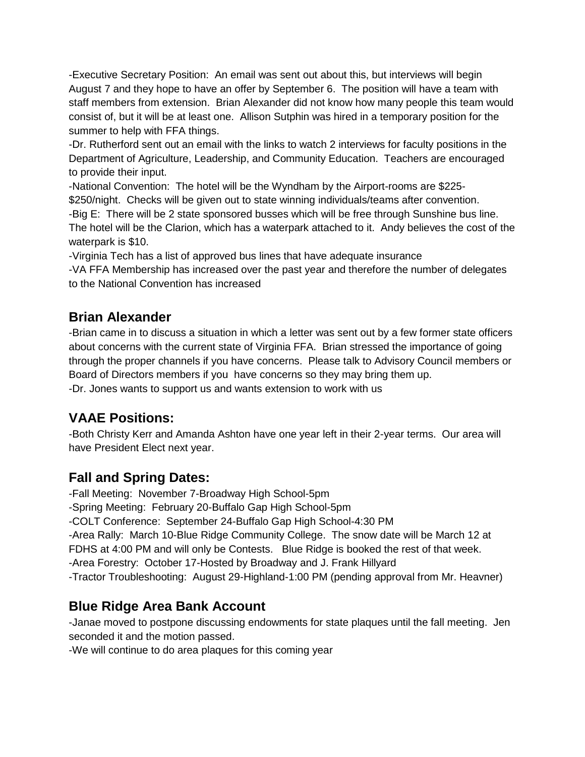-Executive Secretary Position: An email was sent out about this, but interviews will begin August 7 and they hope to have an offer by September 6. The position will have a team with staff members from extension. Brian Alexander did not know how many people this team would consist of, but it will be at least one. Allison Sutphin was hired in a temporary position for the summer to help with FFA things.

-Dr. Rutherford sent out an email with the links to watch 2 interviews for faculty positions in the Department of Agriculture, Leadership, and Community Education. Teachers are encouraged to provide their input.

-National Convention: The hotel will be the Wyndham by the Airport-rooms are \$225- \$250/night. Checks will be given out to state winning individuals/teams after convention. -Big E: There will be 2 state sponsored busses which will be free through Sunshine bus line. The hotel will be the Clarion, which has a waterpark attached to it. Andy believes the cost of the waterpark is \$10.

-Virginia Tech has a list of approved bus lines that have adequate insurance

-VA FFA Membership has increased over the past year and therefore the number of delegates to the National Convention has increased

#### **Brian Alexander**

-Brian came in to discuss a situation in which a letter was sent out by a few former state officers about concerns with the current state of Virginia FFA. Brian stressed the importance of going through the proper channels if you have concerns. Please talk to Advisory Council members or Board of Directors members if you have concerns so they may bring them up. -Dr. Jones wants to support us and wants extension to work with us

# **VAAE Positions:**

-Both Christy Kerr and Amanda Ashton have one year left in their 2-year terms. Our area will have President Elect next year.

# **Fall and Spring Dates:**

-Fall Meeting: November 7-Broadway High School-5pm -Spring Meeting: February 20-Buffalo Gap High School-5pm -COLT Conference: September 24-Buffalo Gap High School-4:30 PM -Area Rally: March 10-Blue Ridge Community College. The snow date will be March 12 at FDHS at 4:00 PM and will only be Contests. Blue Ridge is booked the rest of that week. -Area Forestry: October 17-Hosted by Broadway and J. Frank Hillyard -Tractor Troubleshooting: August 29-Highland-1:00 PM (pending approval from Mr. Heavner)

# **Blue Ridge Area Bank Account**

-Janae moved to postpone discussing endowments for state plaques until the fall meeting. Jen seconded it and the motion passed.

-We will continue to do area plaques for this coming year